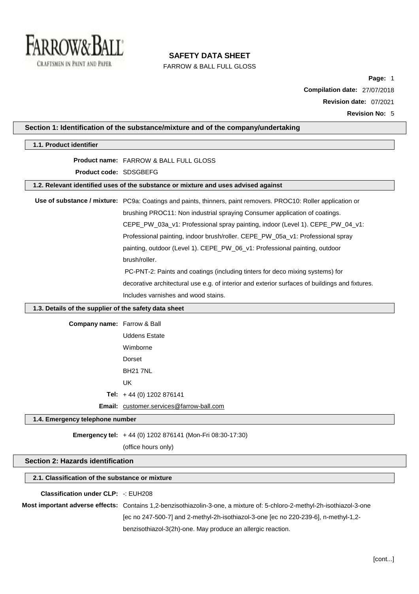

FARROW & BALL FULL GLOSS

**Page:** 1 **Compilation date:** 27/07/2018 **Revision date:** 07/2021 **Revision No:** 5

## **Section 1: Identification of the substance/mixture and of the company/undertaking**

| 1.1. Product identifier                               |                                                                                                                          |  |
|-------------------------------------------------------|--------------------------------------------------------------------------------------------------------------------------|--|
|                                                       | <b>Product name: FARROW &amp; BALL FULL GLOSS</b>                                                                        |  |
| Product code: SDSGBEFG                                |                                                                                                                          |  |
|                                                       | 1.2. Relevant identified uses of the substance or mixture and uses advised against                                       |  |
|                                                       | Use of substance / mixture: PC9a: Coatings and paints, thinners, paint removers. PROC10: Roller application or           |  |
|                                                       | brushing PROC11: Non industrial spraying Consumer application of coatings.                                               |  |
|                                                       | CEPE_PW_03a_v1: Professional spray painting, indoor (Level 1). CEPE_PW_04_v1:                                            |  |
|                                                       | Professional painting, indoor brush/roller. CEPE_PW_05a_v1: Professional spray                                           |  |
|                                                       | painting, outdoor (Level 1). CEPE_PW_06_v1: Professional painting, outdoor                                               |  |
|                                                       | brush/roller.                                                                                                            |  |
|                                                       | PC-PNT-2: Paints and coatings (including tinters for deco mixing systems) for                                            |  |
|                                                       | decorative architectural use e.g. of interior and exterior surfaces of buildings and fixtures.                           |  |
|                                                       | Includes varnishes and wood stains.                                                                                      |  |
|                                                       |                                                                                                                          |  |
| 1.3. Details of the supplier of the safety data sheet |                                                                                                                          |  |
| <b>Company name:</b> Farrow & Ball                    |                                                                                                                          |  |
|                                                       | <b>Uddens Estate</b>                                                                                                     |  |
|                                                       | Wimborne                                                                                                                 |  |
|                                                       | Dorset                                                                                                                   |  |
|                                                       | <b>BH21 7NL</b>                                                                                                          |  |
|                                                       | <b>UK</b>                                                                                                                |  |
|                                                       | Tel: $+44$ (0) 1202 876141                                                                                               |  |
|                                                       | Email: customer.services@farrow-ball.com                                                                                 |  |
| 1.4. Emergency telephone number                       |                                                                                                                          |  |
|                                                       | Emergency tel: +44 (0) 1202 876141 (Mon-Fri 08:30-17:30)                                                                 |  |
|                                                       | (office hours only)                                                                                                      |  |
| <b>Section 2: Hazards identification</b>              |                                                                                                                          |  |
|                                                       |                                                                                                                          |  |
| 2.1. Classification of the substance or mixture       |                                                                                                                          |  |
| <b>Classification under CLP: -: EUH208</b>            |                                                                                                                          |  |
|                                                       | Most important adverse effects: Contains 1,2-benzisothiazolin-3-one, a mixture of: 5-chloro-2-methyl-2h-isothiazol-3-one |  |
|                                                       | [ec no 247-500-7] and 2-methyl-2h-isothiazol-3-one [ec no 220-239-6], n-methyl-1,2-                                      |  |

benzisothiazol-3(2h)-one. May produce an allergic reaction.

[cont...]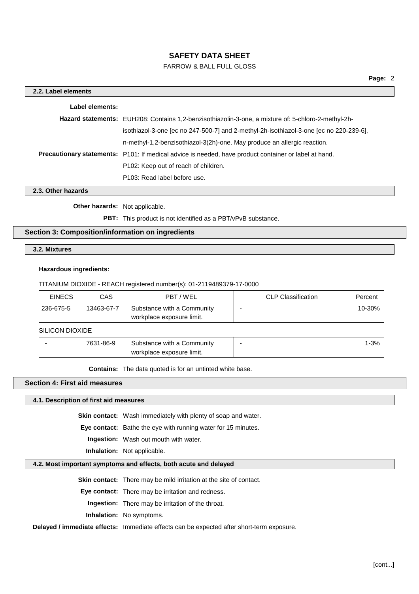## FARROW & BALL FULL GLOSS

| 2.2. Label elements |                                                                                                              |
|---------------------|--------------------------------------------------------------------------------------------------------------|
| Label elements:     |                                                                                                              |
|                     | Hazard statements: EUH208: Contains 1,2-benzisothiazolin-3-one, a mixture of: 5-chloro-2-methyl-2h-          |
|                     | isothiazol-3-one [ec no 247-500-7] and 2-methyl-2h-isothiazol-3-one [ec no 220-239-6],                       |
|                     | n-methyl-1,2-benzisothiazol-3(2h)-one. May produce an allergic reaction.                                     |
|                     | <b>Precautionary statements:</b> P101: If medical advice is needed, have product container or label at hand. |
|                     | P <sub>102</sub> : Keep out of reach of children.                                                            |
|                     | P103: Read label before use.                                                                                 |

**2.3. Other hazards**

**Other hazards:** Not applicable.

**PBT:** This product is not identified as a PBT/vPvB substance.

## **Section 3: Composition/information on ingredients**

**3.2. Mixtures**

#### **Hazardous ingredients:**

TITANIUM DIOXIDE - REACH registered number(s): 01-2119489379-17-0000

| <b>EINECS</b> | CAS        | PBT / WEL                                               | <b>CLP Classification</b> | Percent |
|---------------|------------|---------------------------------------------------------|---------------------------|---------|
| 236-675-5     | 13463-67-7 | Substance with a Community<br>workplace exposure limit. |                           | 10-30%  |

SILICON DIOXIDE

| 7631-86-9 | Substance with a Community | ' - პ "ი |
|-----------|----------------------------|----------|
|           | workplace exposure limit.  |          |

**Contains:** The data quoted is for an untinted white base.

## **Section 4: First aid measures**

**4.1. Description of first aid measures**

**Skin contact:** Wash immediately with plenty of soap and water.

**Eye contact:** Bathe the eye with running water for 15 minutes.

**Ingestion:** Wash out mouth with water.

**Inhalation:** Not applicable.

### **4.2. Most important symptoms and effects, both acute and delayed**

**Skin contact:** There may be mild irritation at the site of contact.

**Eye contact:** There may be irritation and redness.

**Ingestion:** There may be irritation of the throat.

**Inhalation:** No symptoms.

**Delayed / immediate effects:** Immediate effects can be expected after short-term exposure.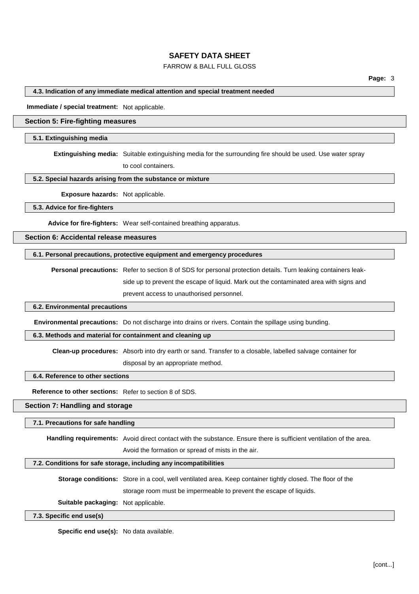## FARROW & BALL FULL GLOSS

**4.3. Indication of any immediate medical attention and special treatment needed**

**Immediate / special treatment:** Not applicable.

## **Section 5: Fire-fighting measures**

#### **5.1. Extinguishing media**

**Extinguishing media:** Suitable extinguishing media for the surrounding fire should be used. Use water spray

to cool containers.

### **5.2. Special hazards arising from the substance or mixture**

**Exposure hazards:** Not applicable.

**5.3. Advice for fire-fighters**

**Advice for fire-fighters:** Wear self-contained breathing apparatus.

## **Section 6: Accidental release measures**

#### **6.1. Personal precautions, protective equipment and emergency procedures**

**Personal precautions:** Refer to section 8 of SDS for personal protection details. Turn leaking containers leakside up to prevent the escape of liquid. Mark out the contaminated area with signs and prevent access to unauthorised personnel.

#### **6.2. Environmental precautions**

**Environmental precautions:** Do not discharge into drains or rivers. Contain the spillage using bunding.

### **6.3. Methods and material for containment and cleaning up**

**Clean-up procedures:** Absorb into dry earth or sand. Transfer to a closable, labelled salvage container for

disposal by an appropriate method.

#### **6.4. Reference to other sections**

**Reference to other sections:** Refer to section 8 of SDS.

## **Section 7: Handling and storage**

#### **7.1. Precautions for safe handling**

**Handling requirements:** Avoid direct contact with the substance. Ensure there is sufficient ventilation of the area.

Avoid the formation or spread of mists in the air.

#### **7.2. Conditions for safe storage, including any incompatibilities**

**Storage conditions:** Store in a cool, well ventilated area. Keep container tightly closed. The floor of the storage room must be impermeable to prevent the escape of liquids.

**Suitable packaging:** Not applicable.

**7.3. Specific end use(s)**

**Specific end use(s):** No data available.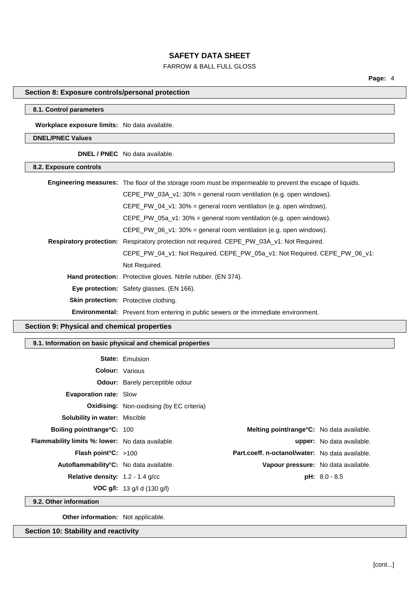# FARROW & BALL FULL GLOSS

## **Section 8: Exposure controls/personal protection**

### **8.1. Control parameters**

**Workplace exposure limits:** No data available.

## **DNEL/PNEC Values**

**DNEL / PNEC** No data available.

| 8.2. Exposure controls |                                                                                                                  |  |
|------------------------|------------------------------------------------------------------------------------------------------------------|--|
|                        | <b>Engineering measures:</b> The floor of the storage room must be impermeable to prevent the escape of liquids. |  |
|                        | CEPE_PW_03A_v1: 30% = general room ventilation (e.g. open windows).                                              |  |
|                        | $CEPE_PW_04_v1: 30\% =$ general room ventilation (e.g. open windows).                                            |  |
|                        | CEPE PW 05a $v1:30\%$ = general room ventilation (e.g. open windows).                                            |  |
|                        | CEPE PW 06 $v1:30\%$ = general room ventilation (e.g. open windows).                                             |  |
|                        | Respiratory protection: Respiratory protection not required. CEPE_PW_03A_v1: Not Required.                       |  |
|                        | CEPE_PW_04_v1: Not Required. CEPE_PW_05a_v1: Not Required. CEPE_PW_06_v1:                                        |  |
|                        | Not Required.                                                                                                    |  |
|                        | <b>Hand protection:</b> Protective gloves. Nitrile rubber. (EN 374).                                             |  |
|                        | Eye protection: Safety glasses. (EN 166).                                                                        |  |
|                        | <b>Skin protection:</b> Protective clothing.                                                                     |  |
|                        | <b>Environmental:</b> Prevent from entering in public sewers or the immediate environment.                       |  |

## **Section 9: Physical and chemical properties**

## **9.1. Information on basic physical and chemical properties**

|                                                         | <b>State: Emulsion</b>                           |                                                 |                                  |
|---------------------------------------------------------|--------------------------------------------------|-------------------------------------------------|----------------------------------|
| <b>Colour:</b> Various                                  |                                                  |                                                 |                                  |
|                                                         | <b>Odour:</b> Barely perceptible odour           |                                                 |                                  |
| <b>Evaporation rate: Slow</b>                           |                                                  |                                                 |                                  |
|                                                         | <b>Oxidising:</b> Non-oxidising (by EC criteria) |                                                 |                                  |
| <b>Solubility in water: Miscible</b>                    |                                                  |                                                 |                                  |
| <b>Boiling point/range°C: 100</b>                       |                                                  | Melting point/range°C: No data available.       |                                  |
| <b>Flammability limits %: lower:</b> No data available. |                                                  |                                                 | <b>upper:</b> No data available. |
| Flash point°C: >100                                     |                                                  | Part.coeff. n-octanol/water: No data available. |                                  |
| Autoflammability <sup>°</sup> C: No data available.     |                                                  | Vapour pressure: No data available.             |                                  |
| <b>Relative density:</b> $1.2 - 1.4$ g/cc               |                                                  |                                                 | $pH: 8.0 - 8.5$                  |
|                                                         | <b>VOC g/l:</b> 13 g/l d (130 g/l)               |                                                 |                                  |
|                                                         |                                                  |                                                 |                                  |

**9.2. Other information**

**Other information:** Not applicable.

**Section 10: Stability and reactivity**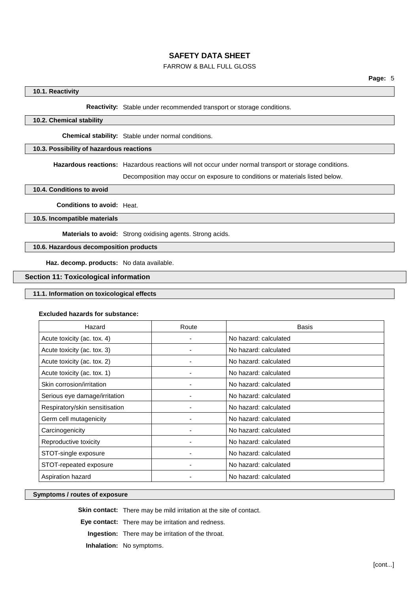## FARROW & BALL FULL GLOSS

### **10.1. Reactivity**

**Reactivity:** Stable under recommended transport or storage conditions.

### **10.2. Chemical stability**

**Chemical stability:** Stable under normal conditions.

## **10.3. Possibility of hazardous reactions**

**Hazardous reactions:** Hazardous reactions will not occur under normal transport or storage conditions.

Decomposition may occur on exposure to conditions or materials listed below.

**10.4. Conditions to avoid**

**Conditions to avoid:** Heat.

**10.5. Incompatible materials**

**Materials to avoid:** Strong oxidising agents. Strong acids.

**10.6. Hazardous decomposition products**

**Haz. decomp. products:** No data available.

### **Section 11: Toxicological information**

## **11.1. Information on toxicological effects**

### **Excluded hazards for substance:**

| Hazard                         | Route | <b>Basis</b>          |
|--------------------------------|-------|-----------------------|
| Acute toxicity (ac. tox. 4)    |       | No hazard: calculated |
| Acute toxicity (ac. tox. 3)    |       | No hazard: calculated |
| Acute toxicity (ac. tox. 2)    |       | No hazard: calculated |
| Acute toxicity (ac. tox. 1)    |       | No hazard: calculated |
| Skin corrosion/irritation      |       | No hazard: calculated |
| Serious eye damage/irritation  |       | No hazard: calculated |
| Respiratory/skin sensitisation |       | No hazard: calculated |
| Germ cell mutagenicity         |       | No hazard: calculated |
| Carcinogenicity                |       | No hazard: calculated |
| Reproductive toxicity          |       | No hazard: calculated |
| STOT-single exposure           |       | No hazard: calculated |
| STOT-repeated exposure         |       | No hazard: calculated |
| Aspiration hazard              |       | No hazard: calculated |

#### **Symptoms / routes of exposure**

**Skin contact:** There may be mild irritation at the site of contact.

**Eye contact:** There may be irritation and redness.

**Ingestion:** There may be irritation of the throat.

**Inhalation:** No symptoms.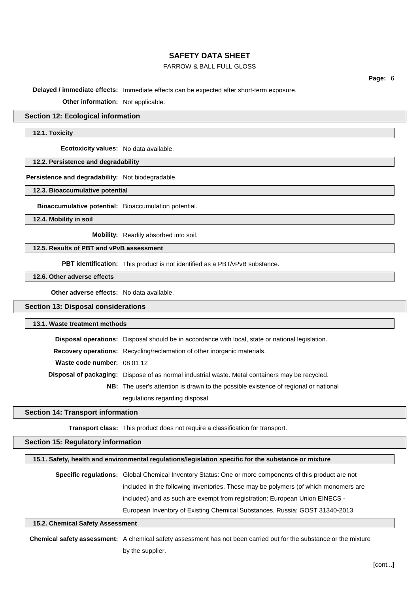## FARROW & BALL FULL GLOSS

**Page:** 6

**Delayed / immediate effects:** Immediate effects can be expected after short-term exposure.

**Other information:** Not applicable.

#### **Section 12: Ecological information**

**12.1. Toxicity**

**Ecotoxicity values:** No data available.

**12.2. Persistence and degradability**

**Persistence and degradability:** Not biodegradable.

**12.3. Bioaccumulative potential**

**Bioaccumulative potential:** Bioaccumulation potential.

**12.4. Mobility in soil**

**Mobility:** Readily absorbed into soil.

**12.5. Results of PBT and vPvB assessment**

**PBT identification:** This product is not identified as a PBT/vPvB substance.

**12.6. Other adverse effects**

**Other adverse effects:** No data available.

#### **Section 13: Disposal considerations**

### **13.1. Waste treatment methods**

|                             | Disposal operations: Disposal should be in accordance with local, state or national legislation.       |
|-----------------------------|--------------------------------------------------------------------------------------------------------|
|                             | <b>Recovery operations:</b> Recycling/reclamation of other inorganic materials.                        |
| Waste code number: 08 01 12 |                                                                                                        |
|                             | <b>Disposal of packaging:</b> Dispose of as normal industrial waste. Metal containers may be recycled. |
|                             | <b>NB:</b> The user's attention is drawn to the possible existence of regional or national             |
|                             | regulations regarding disposal.                                                                        |

### **Section 14: Transport information**

**Transport class:** This product does not require a classification for transport.

#### **Section 15: Regulatory information**

| 15.1. Safety, health and environmental regulations/legislation specific for the substance or mixture |  |
|------------------------------------------------------------------------------------------------------|--|
|------------------------------------------------------------------------------------------------------|--|

**Specific regulations:** Global Chemical Inventory Status: One or more components of this product are not included in the following inventories. These may be polymers (of which monomers are included) and as such are exempt from registration: European Union EINECS - European Inventory of Existing Chemical Substances, Russia: GOST 31340-2013

### **15.2. Chemical Safety Assessment**

**Chemical safety assessment:** A chemical safety assessment has not been carried out for the substance or the mixture by the supplier.